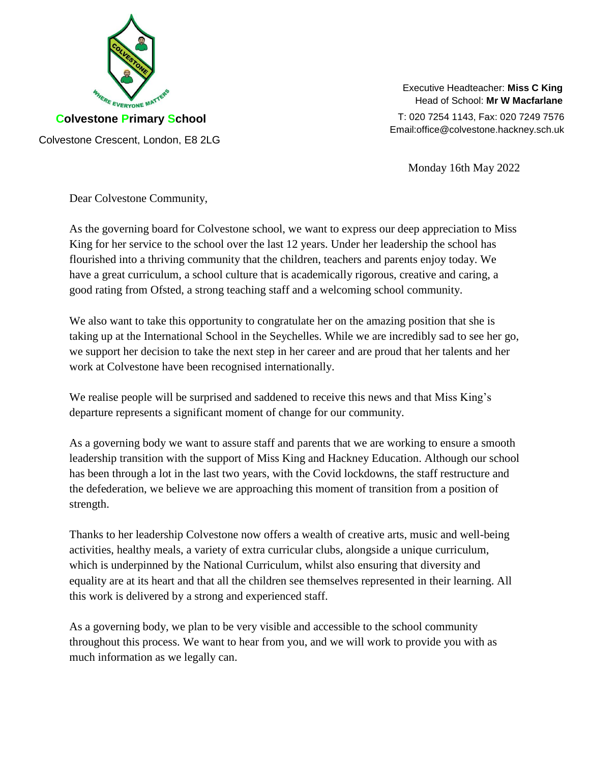

Executive Headteacher: **Miss C King** Head of School: **Mr W Macfarlane**

T: 020 7254 1143, Fax: 020 7249 7576 Email:office@colvestone.hackney.sch.uk

Monday 16th May 2022

Dear Colvestone Community,

As the governing board for Colvestone school, we want to express our deep appreciation to Miss King for her service to the school over the last 12 years. Under her leadership the school has flourished into a thriving community that the children, teachers and parents enjoy today. We have a great curriculum, a school culture that is academically rigorous, creative and caring, a good rating from Ofsted, a strong teaching staff and a welcoming school community.

We also want to take this opportunity to congratulate her on the amazing position that she is taking up at the International School in the Seychelles. While we are incredibly sad to see her go, we support her decision to take the next step in her career and are proud that her talents and her work at Colvestone have been recognised internationally.

We realise people will be surprised and saddened to receive this news and that Miss King's departure represents a significant moment of change for our community.

As a governing body we want to assure staff and parents that we are working to ensure a smooth leadership transition with the support of Miss King and Hackney Education. Although our school has been through a lot in the last two years, with the Covid lockdowns, the staff restructure and the defederation, we believe we are approaching this moment of transition from a position of strength.

Thanks to her leadership Colvestone now offers a wealth of creative arts, music and well-being activities, healthy meals, a variety of extra curricular clubs, alongside a unique curriculum, which is underpinned by the National Curriculum, whilst also ensuring that diversity and equality are at its heart and that all the children see themselves represented in their learning. All this work is delivered by a strong and experienced staff.

As a governing body, we plan to be very visible and accessible to the school community throughout this process. We want to hear from you, and we will work to provide you with as much information as we legally can.